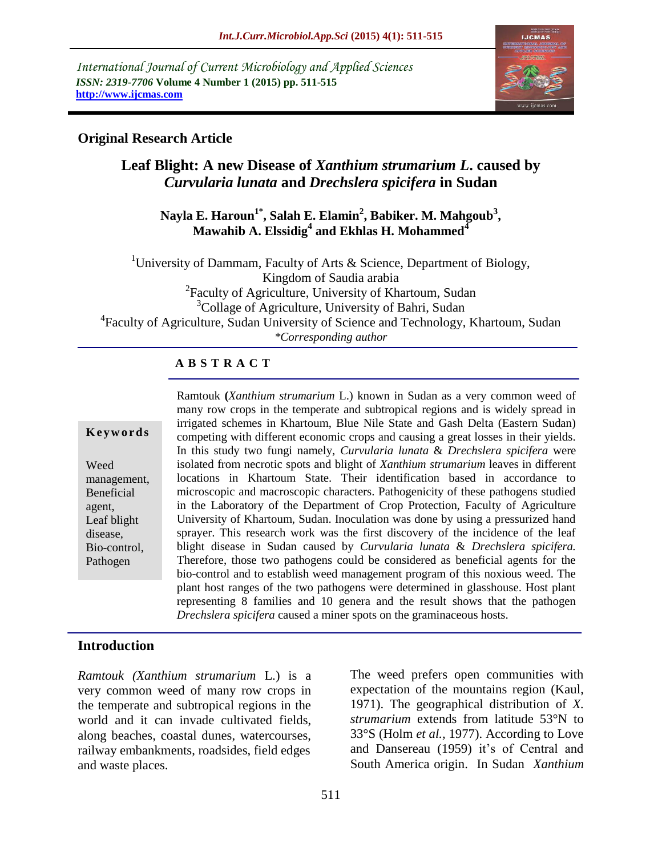*International Journal of Current Microbiology and Applied Sciences ISSN: 2319-7706* **Volume 4 Number 1 (2015) pp. 511-515 http://www.ijcmas.com** 



## **Original Research Article**

# **Leaf Blight: A new Disease of** *Xanthium strumarium L***. caused by**  *Curvularia lunata* **and** *Drechslera spicifera* **in Sudan**

### **Nayla E. Haroun1\* , Salah E. Elamin<sup>2</sup> , Babiker. M. Mahgoub<sup>3</sup> , Mawahib A. Elssidig<sup>4</sup> and Ekhlas H. Mohammed<sup>4</sup>**

<sup>1</sup>University of Dammam, Faculty of Arts  $\&$  Science, Department of Biology, Kingdom of Saudia arabia <sup>2</sup> Faculty of Agriculture, University of Khartoum, Sudan <sup>3</sup>Collage of Agriculture, University of Bahri, Sudan 4 Faculty of Agriculture, Sudan University of Science and Technology, Khartoum, Sudan *\*Corresponding author*

## **A B S T R A C T**

#### **K e y w o r d s**

Weed management, Beneficial agent, Leaf blight disease, Bio-control, Pathogen

Ramtouk **(***Xanthium strumarium* L.) known in Sudan as a very common weed of many row crops in the temperate and subtropical regions and is widely spread in irrigated schemes in Khartoum, Blue Nile State and Gash Delta (Eastern Sudan) competing with different economic crops and causing a great losses in their yields. In this study two fungi namely, *Curvularia lunata* & *Drechslera spicifera* were isolated from necrotic spots and blight of *Xanthium strumarium* leaves in different locations in Khartoum State. Their identification based in accordance to microscopic and macroscopic characters. Pathogenicity of these pathogens studied in the Laboratory of the Department of Crop Protection, Faculty of Agriculture University of Khartoum, Sudan. Inoculation was done by using a pressurized hand sprayer. This research work was the first discovery of the incidence of the leaf blight disease in Sudan caused by *Curvularia lunata* & *Drechslera spicifera.*  Therefore, those two pathogens could be considered as beneficial agents for the bio-control and to establish weed management program of this noxious weed. The plant host ranges of the two pathogens were determined in glasshouse. Host plant representing 8 families and 10 genera and the result shows that the pathogen *Drechslera spicifera* caused a miner spots on the graminaceous hosts.

#### **Introduction**

*Ramtouk (Xanthium strumarium* L.) is a very common weed of many row crops in the temperate and subtropical regions in the world and it can invade cultivated fields, along beaches, coastal dunes, watercourses, railway embankments, roadsides, field edges and waste places.

The weed prefers open communities with expectation of the mountains region (Kaul, 1971). The geographical distribution of *X. strumarium* extends from latitude 53°N to 33°S (Holm *et al.,* 1977). According to Love and Dansereau (1959) it's of Central and South America origin. In Sudan *Xanthium*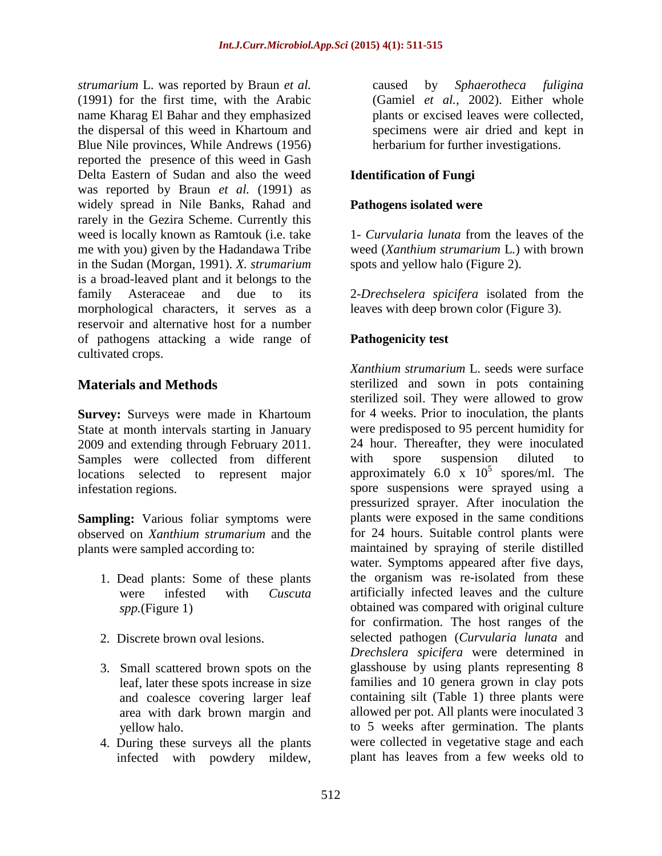*strumarium* L. was reported by Braun *et al.*  (1991) for the first time, with the Arabic name Kharag El Bahar and they emphasized the dispersal of this weed in Khartoum and Blue Nile provinces, While Andrews (1956) reported the presence of this weed in Gash Delta Eastern of Sudan and also the weed was reported by Braun *et al.* (1991) as widely spread in Nile Banks, Rahad and rarely in the Gezira Scheme. Currently this weed is locally known as Ramtouk (i.e. take me with you) given by the Hadandawa Tribe in the Sudan (Morgan, 1991). *X. strumarium* is a broad-leaved plant and it belongs to the family Asteraceae and due to its morphological characters, it serves as a reservoir and alternative host for a number of pathogens attacking a wide range of cultivated crops.

# **Materials and Methods**

**Survey:** Surveys were made in Khartoum State at month intervals starting in January 2009 and extending through February 2011. Samples were collected from different locations selected to represent major infestation regions.

**Sampling:** Various foliar symptoms were observed on *Xanthium strumarium* and the plants were sampled according to:

- 1. Dead plants: Some of these plants were infested with *Cuscuta spp.*(Figure 1)
- 2. Discrete brown oval lesions.
- 3. Small scattered brown spots on the leaf, later these spots increase in size and coalesce covering larger leaf area with dark brown margin and yellow halo.
- 4. During these surveys all the plants infected with powdery mildew,

caused by *Sphaerotheca fuligina* (Gamiel *et al.,* 2002). Either whole plants or excised leaves were collected, specimens were air dried and kept in herbarium for further investigations.

# **Identification of Fungi**

#### **Pathogens isolated were**

1- *Curvularia lunata* from the leaves of the weed (*Xanthium strumarium* L*.*) with brown spots and yellow halo (Figure 2).

2-*Drechselera spicifera* isolated from the leaves with deep brown color (Figure 3).

## **Pathogenicity test**

*Xanthium strumarium* L. seeds were surface sterilized and sown in pots containing sterilized soil. They were allowed to grow for 4 weeks. Prior to inoculation, the plants were predisposed to 95 percent humidity for 24 hour. Thereafter, they were inoculated with spore suspension diluted to approximately  $6.0 \times 10^5$  spores/ml. The spore suspensions were sprayed using a pressurized sprayer. After inoculation the plants were exposed in the same conditions for 24 hours. Suitable control plants were maintained by spraying of sterile distilled water. Symptoms appeared after five days, the organism was re-isolated from these artificially infected leaves and the culture obtained was compared with original culture for confirmation. The host ranges of the selected pathogen (*Curvularia lunata* and *Drechslera spicifera* were determined in glasshouse by using plants representing 8 families and 10 genera grown in clay pots containing silt (Table 1) three plants were allowed per pot. All plants were inoculated 3 to 5 weeks after germination. The plants were collected in vegetative stage and each plant has leaves from a few weeks old to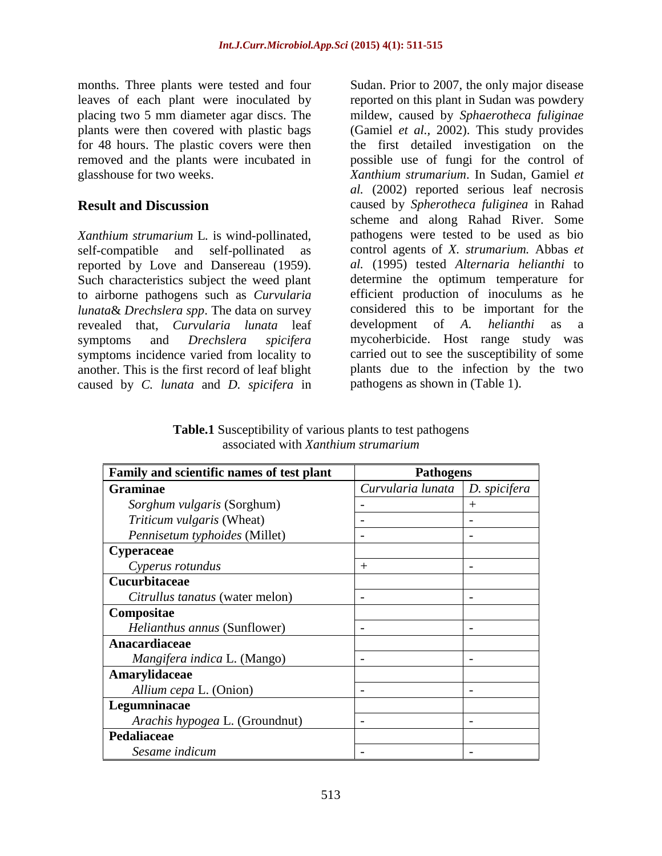months. Three plants were tested and four leaves of each plant were inoculated by placing two 5 mm diameter agar discs. The plants were then covered with plastic bags for 48 hours. The plastic covers were then removed and the plants were incubated in glasshouse for two weeks.

### **Result and Discussion**

*Xanthium strumarium* L*.* is wind-pollinated, self-compatible and self-pollinated as reported by Love and Dansereau (1959). Such characteristics subject the weed plant to airborne pathogens such as *Curvularia lunata*& *Drechslera spp*. The data on survey revealed that, *Curvularia lunata* leaf symptoms and *Drechslera spicifera* symptoms incidence varied from locality to another. This is the first record of leaf blight caused by *C. lunata* and *D. spicifera* in

Sudan. Prior to 2007, the only major disease reported on this plant in Sudan was powdery mildew, caused by *Sphaerotheca fuliginae* (Gamiel *et al.,* 2002). This study provides the first detailed investigation on the possible use of fungi for the control of *Xanthium strumarium*. In Sudan, Gamiel *et al.* (2002) reported serious leaf necrosis caused by *Spherotheca fuliginea* in Rahad scheme and along Rahad River. Some pathogens were tested to be used as bio control agents of *X. strumarium.* Abbas *et al.* (1995) tested *Alternaria helianthi* to determine the optimum temperature for efficient production of inoculums as he considered this to be important for the development of *A. helianthi* as a mycoherbicide. Host range study was carried out to see the susceptibility of some plants due to the infection by the two pathogens as shown in (Table 1).

**Table.1** Susceptibility of various plants to test pathogens associated with *Xanthium strumarium*

| Family and scientific names of test plant | <b>Pathogens</b>  |              |
|-------------------------------------------|-------------------|--------------|
| <b>Graminae</b>                           | Curvularia lunata | D. spicifera |
| Sorghum vulgaris (Sorghum)                |                   | $^+$         |
| <i>Triticum vulgaris</i> (Wheat)          |                   |              |
| Pennisetum typhoides (Millet)             |                   |              |
| <b>Cyperaceae</b>                         |                   |              |
| Cyperus rotundus                          | $^{+}$            |              |
| Cucurbitaceae                             |                   |              |
| Citrullus tanatus (water melon)           |                   |              |
| Compositae                                |                   |              |
| Helianthus annus (Sunflower)              |                   |              |
| Anacardiaceae                             |                   |              |
| <i>Mangifera indica L. (Mango)</i>        |                   |              |
| Amarylidaceae                             |                   |              |
| Allium cepa L. (Onion)                    |                   |              |
| Legumninacae                              |                   |              |
| Arachis hypogea L. (Groundnut)            |                   |              |
| Pedaliaceae                               |                   |              |
| Sesame indicum                            |                   |              |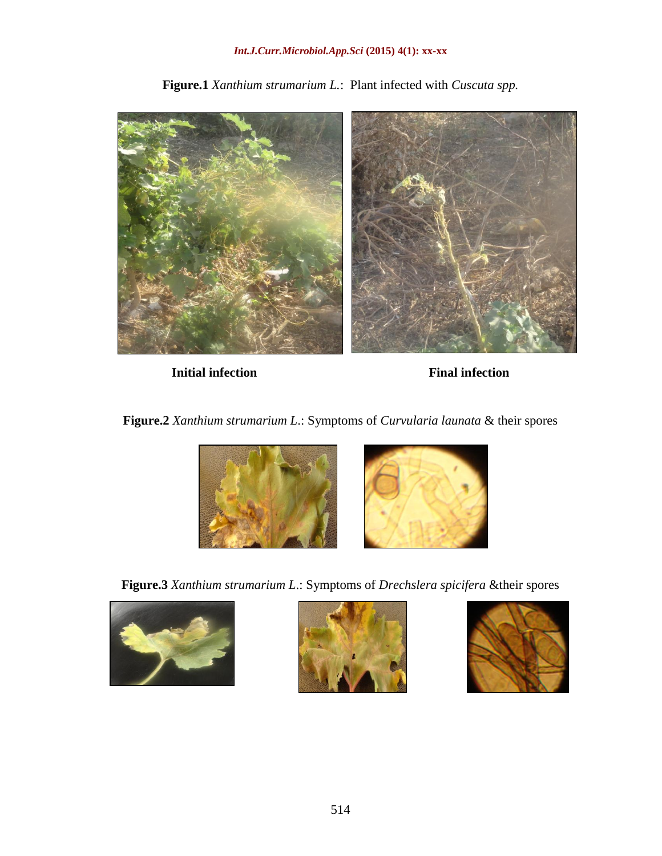#### *Int.J.Curr.Microbiol.App.Sci* **(2015) 4(1): xx-xx**



**Figure.1** *Xanthium strumarium L.*: Plant infected with *Cuscuta spp.*

**Initial infection** Final infection

**Figure.2** *Xanthium strumarium L*.: Symptoms of *Curvularia launata* & their spores



**Figure.3** *Xanthium strumarium L*.: Symptoms of *Drechslera spicifera* &their spores